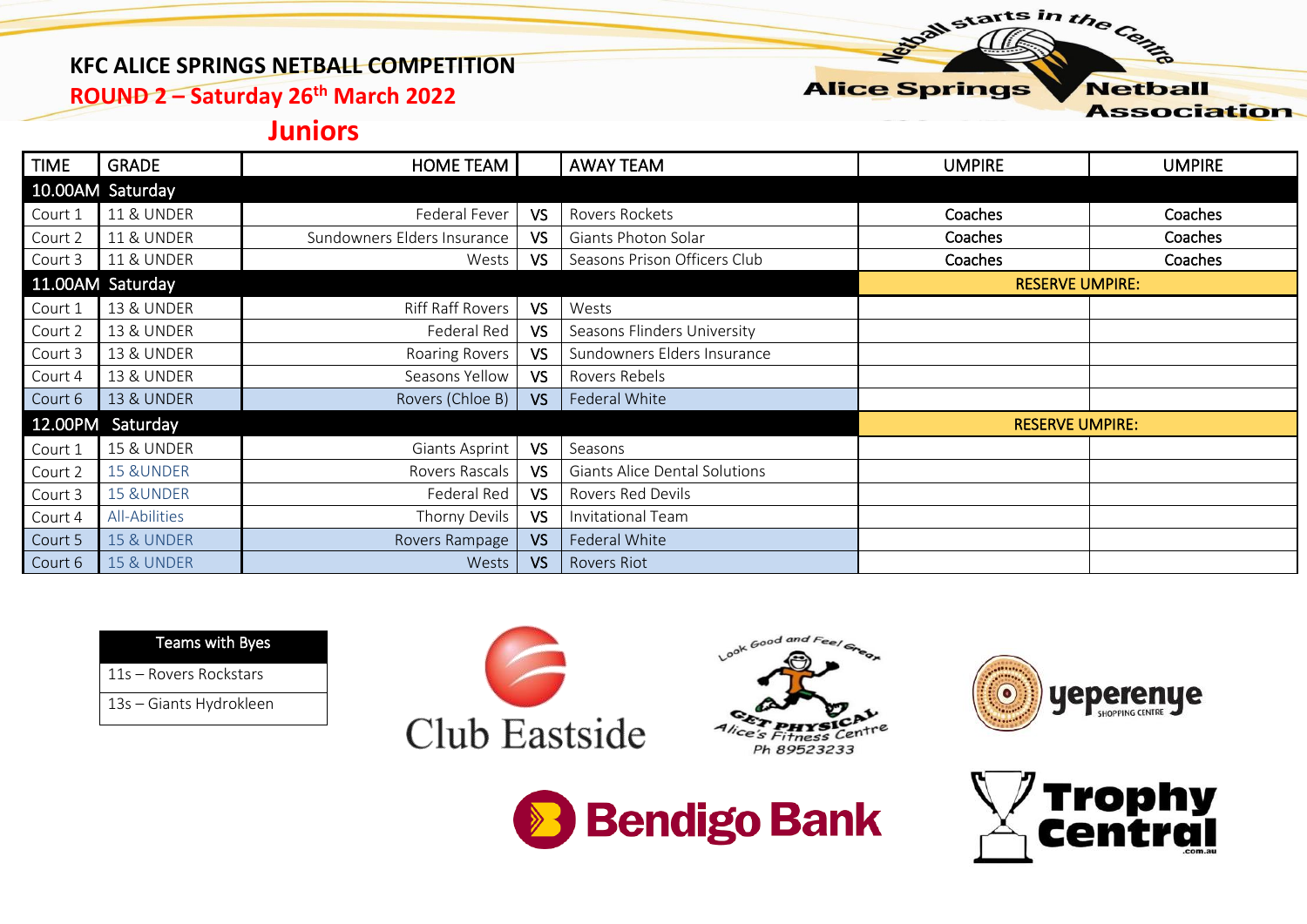#### **KFC ALICE SPRINGS NETBALL COMPETITION**

**ROUND 2 – Saturday 26th March 2022**

#### **Alice Springs Netball Association**

starts in the Centre

### **Juniors**

| <b>TIME</b> | <b>GRADE</b>          | <b>HOME TEAM</b>            |                        | <b>AWAY TEAM</b>              | <b>UMPIRE</b> | <b>UMPIRE</b> |
|-------------|-----------------------|-----------------------------|------------------------|-------------------------------|---------------|---------------|
|             | 10.00AM Saturday      |                             |                        |                               |               |               |
| Court 1     | <b>11 &amp; UNDER</b> | Federal Fever               | VS                     | Rovers Rockets                | Coaches       | Coaches       |
| Court 2     | <b>11 &amp; UNDER</b> | Sundowners Elders Insurance | VS                     | Giants Photon Solar           | Coaches       | Coaches       |
| Court 3     | <b>11 &amp; UNDER</b> | Wests                       | VS                     | Seasons Prison Officers Club  | Coaches       | Coaches       |
|             | 11.00AM Saturday      |                             | <b>RESERVE UMPIRE:</b> |                               |               |               |
| Court 1     | <b>13 &amp; UNDER</b> | Riff Raff Rovers            | <b>VS</b>              | Wests                         |               |               |
| Court 2     | <b>13 &amp; UNDER</b> | Federal Red                 | VS                     | Seasons Flinders University   |               |               |
| Court 3     | <b>13 &amp; UNDER</b> | Roaring Rovers              | VS.                    | Sundowners Elders Insurance   |               |               |
| Court 4     | <b>13 &amp; UNDER</b> | Seasons Yellow              | VS.                    | Rovers Rebels                 |               |               |
| Court 6     | <b>13 &amp; UNDER</b> | Rovers (Chloe B)            | VS                     | Federal White                 |               |               |
|             | 12.00PM Saturday      |                             |                        | <b>RESERVE UMPIRE:</b>        |               |               |
| Court 1     | <b>15 &amp; UNDER</b> | Giants Asprint              | <b>VS</b>              | Seasons                       |               |               |
| Court 2     | <b>15 &amp;UNDER</b>  | Rovers Rascals              | VS                     | Giants Alice Dental Solutions |               |               |
| Court 3     | <b>15 &amp;UNDER</b>  | Federal Red                 | VS                     | Rovers Red Devils             |               |               |
| Court 4     | All-Abilities         | Thorny Devils               | <b>VS</b>              | Invitational Team             |               |               |
| Court 5     | <b>15 &amp; UNDER</b> | Rovers Rampage              | VS                     | Federal White                 |               |               |
| Court 6     | <b>15 &amp; UNDER</b> | Wests                       | VS                     | <b>Rovers Riot</b>            |               |               |

Teams with Byes

11s – Rovers Rockstars

13s – Giants Hydrokleen